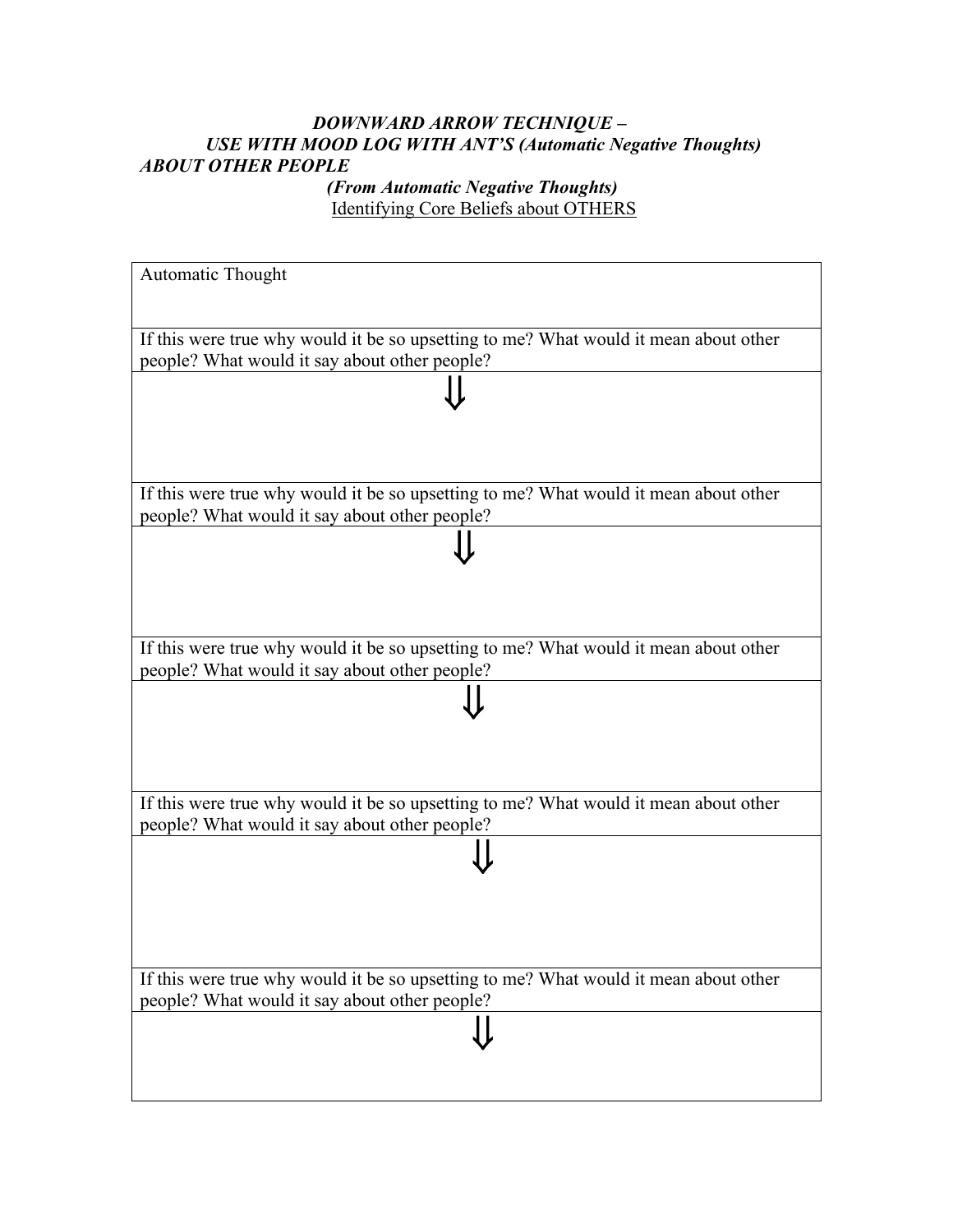## *DOWNWARD ARROW TECHNIQUE – USE WITH MOOD LOG WITH ANT'S (Automatic Negative Thoughts) ABOUT OTHER PEOPLE*

 *(From Automatic Negative Thoughts)*  Identifying Core Beliefs about OTHERS

| Automatic Thought                                                                                                                     |  |  |
|---------------------------------------------------------------------------------------------------------------------------------------|--|--|
|                                                                                                                                       |  |  |
| If this were true why would it be so upsetting to me? What would it mean about other<br>people? What would it say about other people? |  |  |
|                                                                                                                                       |  |  |
|                                                                                                                                       |  |  |
|                                                                                                                                       |  |  |
| If this were true why would it be so upsetting to me? What would it mean about other<br>people? What would it say about other people? |  |  |
|                                                                                                                                       |  |  |
|                                                                                                                                       |  |  |
|                                                                                                                                       |  |  |
| If this were true why would it be so upsetting to me? What would it mean about other<br>people? What would it say about other people? |  |  |
|                                                                                                                                       |  |  |
|                                                                                                                                       |  |  |
|                                                                                                                                       |  |  |
| If this were true why would it be so upsetting to me? What would it mean about other<br>people? What would it say about other people? |  |  |
|                                                                                                                                       |  |  |
|                                                                                                                                       |  |  |
|                                                                                                                                       |  |  |
|                                                                                                                                       |  |  |
| If this were true why would it be so upsetting to me? What would it mean about other<br>people? What would it say about other people? |  |  |
|                                                                                                                                       |  |  |
|                                                                                                                                       |  |  |
|                                                                                                                                       |  |  |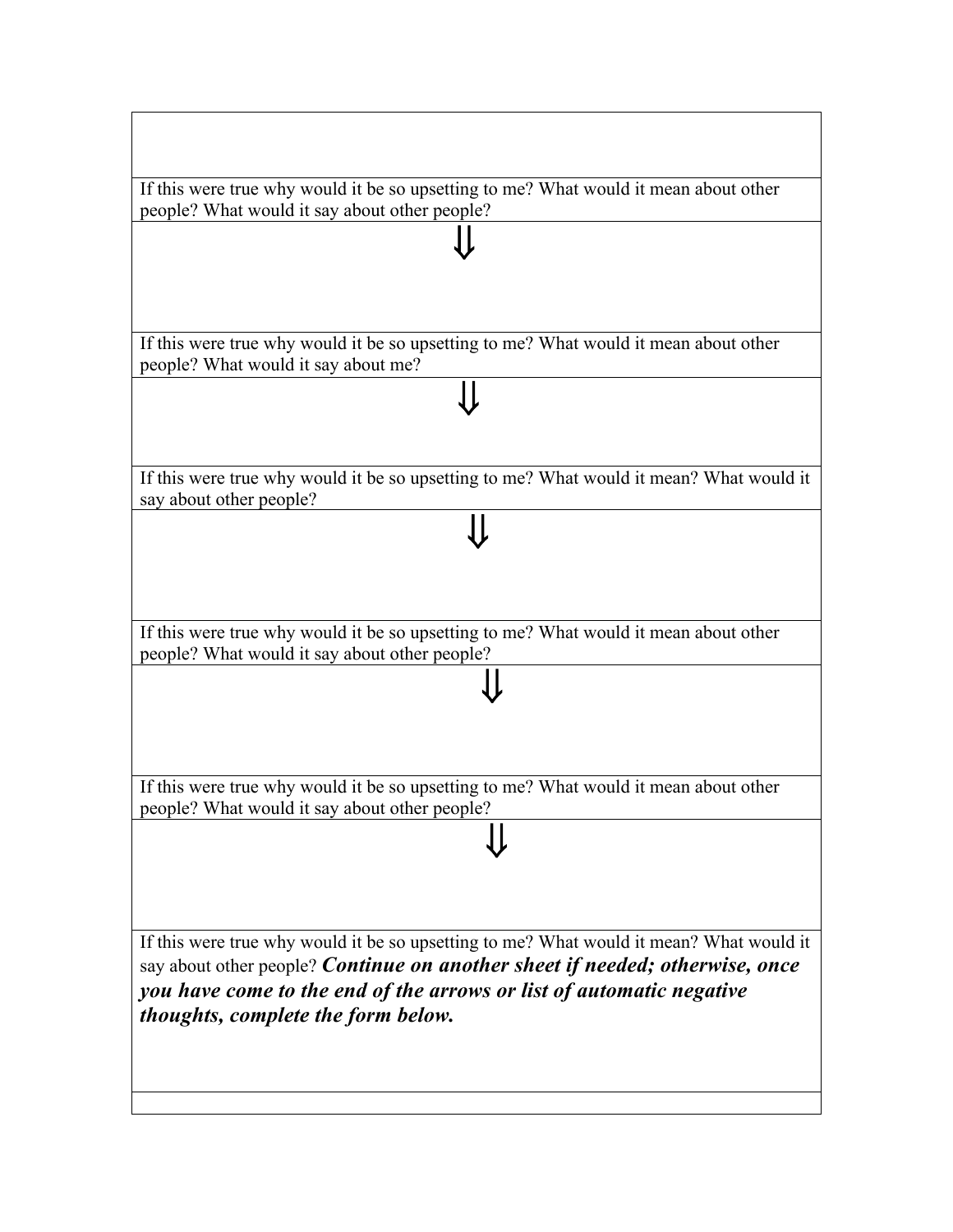| If this were true why would it be so upsetting to me? What would it mean about other                                                  |  |  |
|---------------------------------------------------------------------------------------------------------------------------------------|--|--|
| people? What would it say about other people?                                                                                         |  |  |
|                                                                                                                                       |  |  |
|                                                                                                                                       |  |  |
| If this were true why would it be so upsetting to me? What would it mean about other<br>people? What would it say about me?           |  |  |
|                                                                                                                                       |  |  |
|                                                                                                                                       |  |  |
| If this were true why would it be so upsetting to me? What would it mean? What would it<br>say about other people?                    |  |  |
|                                                                                                                                       |  |  |
|                                                                                                                                       |  |  |
|                                                                                                                                       |  |  |
| If this were true why would it be so upsetting to me? What would it mean about other<br>people? What would it say about other people? |  |  |
|                                                                                                                                       |  |  |
|                                                                                                                                       |  |  |
| If this were true why would it be so upsetting to me? What would it mean about other                                                  |  |  |
| people? What would it say about other people?                                                                                         |  |  |
|                                                                                                                                       |  |  |
|                                                                                                                                       |  |  |
| If this were true why would it be so upsetting to me? What would it mean? What would it                                               |  |  |
| say about other people? Continue on another sheet if needed; otherwise, once                                                          |  |  |
| thoughts, complete the form below.                                                                                                    |  |  |
|                                                                                                                                       |  |  |
|                                                                                                                                       |  |  |
| you have come to the end of the arrows or list of automatic negative                                                                  |  |  |